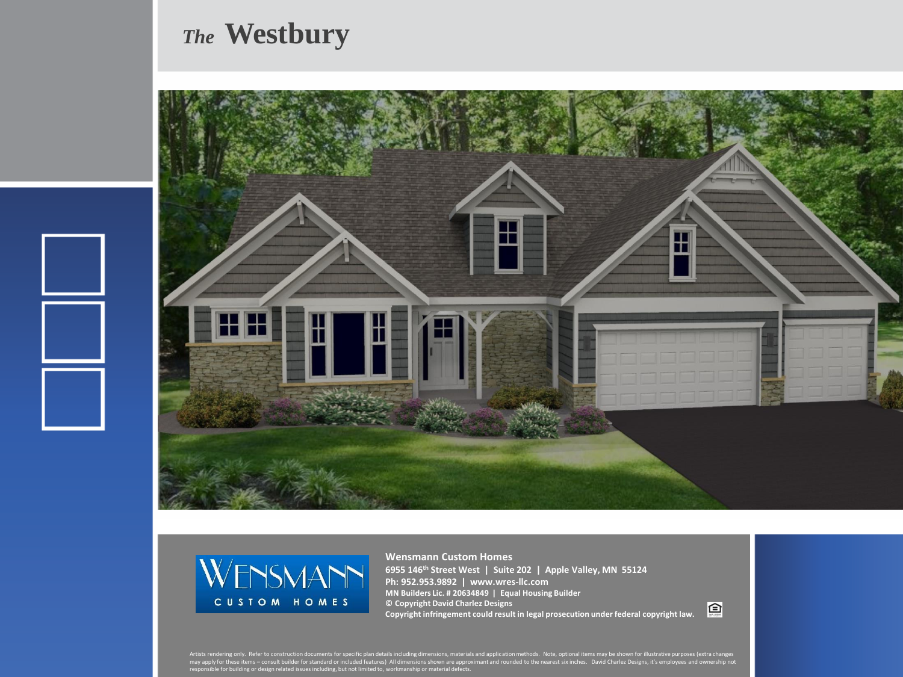## *The* **Westbury**





**Wensmann Custom Homes 6955 146th Street West | Suite 202 | Apple Valley, MN 55124 Ph: 952.953.9892 | www.wres-llc.com MN Builders Lic. # 20634849 | Equal Housing Builder © Copyright David Charlez Designs Copyright infringement could result in legal prosecution under federal copyright law.**

回

Artists rendering only. Refer to construction documents for specific plan details including dimensions, materials and application methods. Note, optional items may be shown for illustrative purposes (extra changes<br>may appl